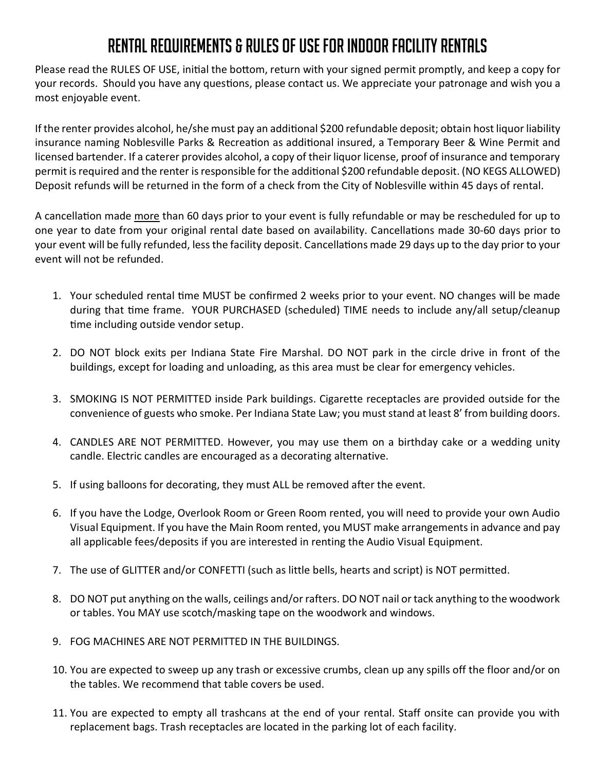## Rental Requirements & Rules of Use for indoor facility rentals

Please read the RULES OF USE, initial the bottom, return with your signed permit promptly, and keep a copy for your records. Should you have any questions, please contact us. We appreciate your patronage and wish you a most enjoyable event.

If the renter provides alcohol, he/she must pay an additional \$200 refundable deposit; obtain host liquor liability insurance naming Noblesville Parks & Recreation as additional insured, a Temporary Beer & Wine Permit and licensed bartender. If a caterer provides alcohol, a copy of their liquor license, proof of insurance and temporary permit is required and the renter is responsible for the additional \$200 refundable deposit. (NO KEGS ALLOWED) Deposit refunds will be returned in the form of a check from the City of Noblesville within 45 days of rental.

A cancellation made more than 60 days prior to your event is fully refundable or may be rescheduled for up to one year to date from your original rental date based on availability. Cancellations made 30-60 days prior to your event will be fully refunded, less the facility deposit. Cancellations made 29 days up to the day prior to your event will not be refunded.

- 1. Your scheduled rental time MUST be confirmed 2 weeks prior to your event. NO changes will be made during that time frame. YOUR PURCHASED (scheduled) TIME needs to include any/all setup/cleanup time including outside vendor setup.
- 2. DO NOT block exits per Indiana State Fire Marshal. DO NOT park in the circle drive in front of the buildings, except for loading and unloading, as this area must be clear for emergency vehicles.
- 3. SMOKING IS NOT PERMITTED inside Park buildings. Cigarette receptacles are provided outside for the convenience of guests who smoke. Per Indiana State Law; you must stand at least 8' from building doors.
- 4. CANDLES ARE NOT PERMITTED. However, you may use them on a birthday cake or a wedding unity candle. Electric candles are encouraged as a decorating alternative.
- 5. If using balloons for decorating, they must ALL be removed after the event.
- 6. If you have the Lodge, Overlook Room or Green Room rented, you will need to provide your own Audio Visual Equipment. If you have the Main Room rented, you MUST make arrangements in advance and pay all applicable fees/deposits if you are interested in renting the Audio Visual Equipment.
- 7. The use of GLITTER and/or CONFETTI (such as little bells, hearts and script) is NOT permitted.
- 8. DO NOT put anything on the walls, ceilings and/or rafters. DO NOT nail or tack anything to the woodwork or tables. You MAY use scotch/masking tape on the woodwork and windows.
- 9. FOG MACHINES ARE NOT PERMITTED IN THE BUILDINGS.
- 10. You are expected to sweep up any trash or excessive crumbs, clean up any spills off the floor and/or on the tables. We recommend that table covers be used.
- 11. You are expected to empty all trashcans at the end of your rental. Staff onsite can provide you with replacement bags. Trash receptacles are located in the parking lot of each facility.